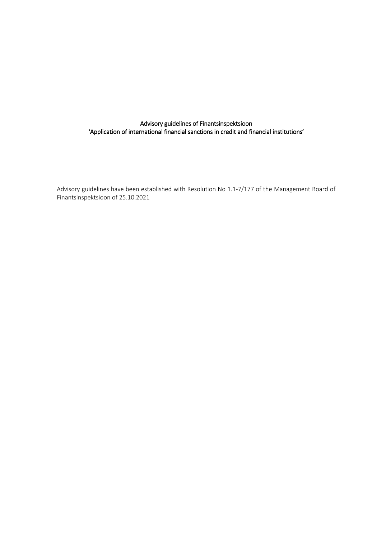# Advisory guidelines of Finantsinspektsioon 'Application of international financial sanctions in credit and financial institutions'

Advisory guidelines have been established with Resolution No 1.1-7/177 of the Management Board of Finantsinspektsioon of 25.10.2021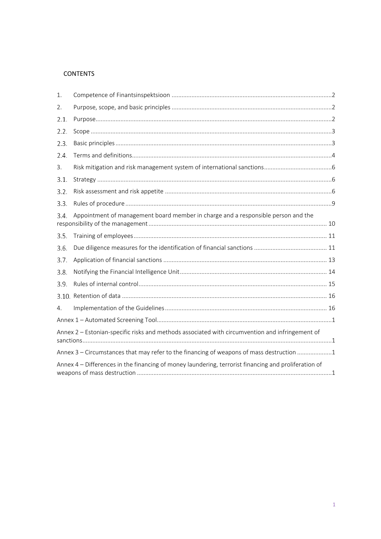# **CONTENTS**

| $\mathbf{1}$ .                                                                                       |  |  |  |  |  |
|------------------------------------------------------------------------------------------------------|--|--|--|--|--|
| 2.                                                                                                   |  |  |  |  |  |
| 2.1.                                                                                                 |  |  |  |  |  |
| 2.2.                                                                                                 |  |  |  |  |  |
| 2.3.                                                                                                 |  |  |  |  |  |
| 2.4.                                                                                                 |  |  |  |  |  |
| 3.                                                                                                   |  |  |  |  |  |
| 3.1.                                                                                                 |  |  |  |  |  |
| 3.2.                                                                                                 |  |  |  |  |  |
| 3.3.                                                                                                 |  |  |  |  |  |
| Appointment of management board member in charge and a responsible person and the<br>3.4.            |  |  |  |  |  |
| 3.5.                                                                                                 |  |  |  |  |  |
| 3.6.                                                                                                 |  |  |  |  |  |
| 3.7.                                                                                                 |  |  |  |  |  |
| 3.8                                                                                                  |  |  |  |  |  |
| 3.9.                                                                                                 |  |  |  |  |  |
|                                                                                                      |  |  |  |  |  |
| 4.                                                                                                   |  |  |  |  |  |
|                                                                                                      |  |  |  |  |  |
| Annex 2 - Estonian-specific risks and methods associated with circumvention and infringement of      |  |  |  |  |  |
| Annex 3 - Circumstances that may refer to the financing of weapons of mass destruction 1             |  |  |  |  |  |
| Annex 4 – Differences in the financing of money laundering, terrorist financing and proliferation of |  |  |  |  |  |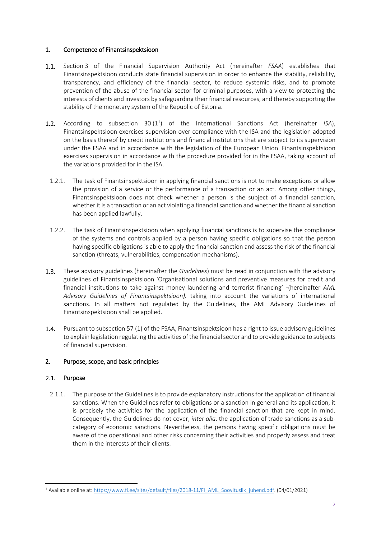## <span id="page-2-0"></span>1. Competence of Finantsinspektsioon

- $1.1.$ Section 3 of the Financial Supervision Authority Act (hereinafter *FSAA*) establishes that Finantsinspektsioon conducts state financial supervision in order to enhance the stability, reliability, transparency, and efficiency of the financial sector, to reduce systemic risks, and to promote prevention of the abuse of the financial sector for criminal purposes, with a view to protecting the interests of clients and investors by safeguarding their financial resources, and thereby supporting the stability of the monetary system of the Republic of Estonia.
- $1.2.$ According to subsection 30(1<sup>1</sup>) of the International Sanctions Act (hereinafter *ISA*), Finantsinspektsioon exercises supervision over compliance with the ISA and the legislation adopted on the basis thereof by credit institutions and financial institutions that are subject to its supervision under the FSAA and in accordance with the legislation of the European Union. Finantsinspektsioon exercises supervision in accordance with the procedure provided for in the FSAA, taking account of the variations provided for in the ISA.
	- 1.2.1. The task of Finantsinspektsioon in applying financial sanctions is not to make exceptions or allow the provision of a service or the performance of a transaction or an act. Among other things, Finantsinspektsioon does not check whether a person is the subject of a financial sanction, whether it is a transaction or an act violating a financial sanction and whether the financial sanction has been applied lawfully.
	- 1.2.2. The task of Finantsinspektsioon when applying financial sanctions is to supervise the compliance of the systems and controls applied by a person having specific obligations so that the person having specific obligations is able to apply the financial sanction and assess the risk of the financial sanction (threats, vulnerabilities, compensation mechanisms).
- $1.3.$ These advisory guidelines (hereinafter the *Guidelines*) must be read in conjunction with the advisory guidelines of Finantsinspektsioon 'Organisational solutions and preventive measures for credit and financial institutions to take against money laundering and terrorist financing' <sup>1</sup> (hereinafter *AML Advisory Guidelines of Finantsinspektsioon),* taking into account the variations of international sanctions. In all matters not regulated by the Guidelines, the AML Advisory Guidelines of Finantsinspektsioon shall be applied.
- $1.4.$ Pursuant to subsection 57 (1) of the FSAA, Finantsinspektsioon has a right to issue advisory guidelines to explain legislation regulating the activities of the financial sector and to provide guidance to subjects of financial supervision.

# <span id="page-2-1"></span>2. Purpose, scope, and basic principles

# <span id="page-2-2"></span>2.1. Purpose

-

2.1.1. The purpose of the Guidelines is to provide explanatory instructions for the application of financial sanctions. When the Guidelines refer to obligations or a sanction in general and its application, it is precisely the activities for the application of the financial sanction that are kept in mind. Consequently, the Guidelines do not cover, *inter alia*, the application of trade sanctions as a subcategory of economic sanctions. Nevertheless, the persons having specific obligations must be aware of the operational and other risks concerning their activities and properly assess and treat them in the interests of their clients.

<sup>&</sup>lt;sup>1</sup> Available online at[: https://www.fi.ee/sites/default/files/2018-11/FI\\_AML\\_Soovituslik\\_juhend.pdf.](https://www.fi.ee/sites/default/files/2018-11/FI_AML_Soovituslik_juhend.pdf) (04/01/2021)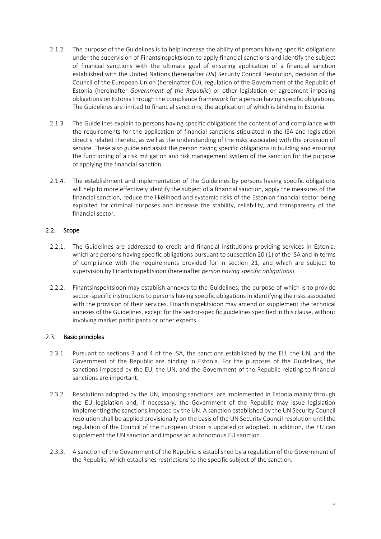- 2.1.2. The purpose of the Guidelines is to help increase the ability of persons having specific obligations under the supervision of Finantsinspektsioon to apply financial sanctions and identify the subject of financial sanctions with the ultimate goal of ensuring application of a financial sanction established with the United Nations (hereinafter *UN*) Security Council Resolution, decision of the Council of the European Union (hereinafter *EU*), regulation of the Government of the Republic of Estonia (hereinafter *Government of the Republic*) or other legislation or agreement imposing obligations on Estonia through the compliance framework for a person having specific obligations. The Guidelines are limited to financial sanctions, the application of which is binding in Estonia.
- 2.1.3. The Guidelines explain to persons having specific obligations the content of and compliance with the requirements for the application of financial sanctions stipulated in the ISA and legislation directly related thereto, as well as the understanding of the risks associated with the provision of service. These also guide and assist the person having specific obligations in building and ensuring the functioning of a risk mitigation and risk management system of the sanction for the purpose of applying the financial sanction.
- 2.1.4. The establishment and implementation of the Guidelines by persons having specific obligations will help to more effectively identify the subject of a financial sanction, apply the measures of the financial sanction, reduce the likelihood and systemic risks of the Estonian financial sector being exploited for criminal purposes and increase the stability, reliability, and transparency of the financial sector.

# <span id="page-3-0"></span>2.2. Scope

- 2.2.1. The Guidelines are addressed to credit and financial institutions providing services in Estonia, which are persons having specific obligations pursuant to subsection 20 (1) of the ISA and in terms of compliance with the requirements provided for in section 21, and which are subject to supervision by Finantsinspektsioon (hereinafter *person having specific obligations*).
- 2.2.2. Finantsinspektsioon may establish annexes to the Guidelines, the purpose of which is to provide sector-specific instructions to persons having specific obligations in identifying the risks associated with the provision of their services. Finantsinspektsioon may amend or supplement the technical annexes of the Guidelines, except for the sector-specific guidelines specified in this clause, without involving market participants or other experts.

#### <span id="page-3-1"></span> $2.3.$ Basic principles

- 2.3.1. Pursuant to sections 3 and 4 of the ISA, the sanctions established by the EU, the UN, and the Government of the Republic are binding in Estonia. For the purposes of the Guidelines, the sanctions imposed by the EU, the UN, and the Government of the Republic relating to financial sanctions are important.
- 2.3.2. Resolutions adopted by the UN, imposing sanctions, are implemented in Estonia mainly through the EU legislation and, if necessary, the Government of the Republic may issue legislation implementing the sanctions imposed by the UN. A sanction established by the UN Security Council resolution shall be applied provisionally on the basis of the UN Security Council resolution until the regulation of the Council of the European Union is updated or adopted. In addition, the EU can supplement the UN sanction and impose an autonomous EU sanction.
- 2.3.3. A sanction of the Government of the Republic is established by a regulation of the Government of the Republic, which establishes restrictions to the specific subject of the sanction.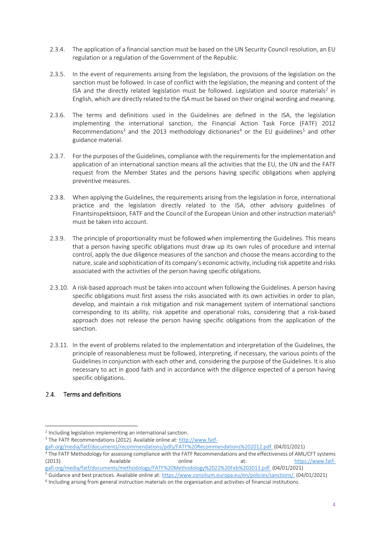- 2.3.4. The application of a financial sanction must be based on the UN Security Council resolution, an EU regulation or a regulation of the Government of the Republic.
- 2.3.5. In the event of requirements arising from the legislation, the provisions of the legislation on the sanction must be followed. In case of conflict with the legislation, the meaning and content of the ISA and the directly related legislation must be followed. Legislation and source materials<sup>2</sup> in English, which are directly related to the ISA must be based on their original wording and meaning.
- 2.3.6. The terms and definitions used in the Guidelines are defined in the ISA, the legislation implementing the international sanction, the Financial Action Task Force (FATF) 2012 Recommendations<sup>3</sup> and the 2013 methodology dictionaries<sup>4</sup> or the EU guidelines<sup>5</sup> and other guidance material.
- 2.3.7. For the purposes of the Guidelines, compliance with the requirements for the implementation and application of an international sanction means all the activities that the EU, the UN and the FATF request from the Member States and the persons having specific obligations when applying preventive measures.
- 2.3.8. When applying the Guidelines, the requirements arising from the legislation in force, international practice and the legislation directly related to the ISA, other advisory guidelines of Finantsinspektsioon, FATF and the Council of the European Union and other instruction materials<sup>6</sup> must be taken into account.
- 2.3.9. The principle of proportionality must be followed when implementing the Guidelines. This means that a person having specific obligations must draw up its own rules of procedure and internal control, apply the due diligence measures of the sanction and choose the means according to the nature, scale and sophistication of its company's economic activity, including risk appetite and risks associated with the activities of the person having specific obligations.
- 2.3.10. A risk-based approach must be taken into account when following the Guidelines. A person having specific obligations must first assess the risks associated with its own activities in order to plan, develop, and maintain a risk mitigation and risk management system of international sanctions corresponding to its ability, risk appetite and operational risks, considering that a risk-based approach does not release the person having specific obligations from the application of the sanction.
- 2.3.11. In the event of problems related to the implementation and interpretation of the Guidelines, the principle of reasonableness must be followed, interpreting, if necessary, the various points of the Guidelines in conjunction with each other and, considering the purpose of the Guidelines. It is also necessary to act in good faith and in accordance with the diligence expected of a person having specific obligations.

# <span id="page-4-0"></span>2.4. Terms and definitions

-

[gafi.org/media/fatf/documents/recommendations/pdfs/FATF%20Recommendations%202012.pdf.](http://www.fatf-gafi.org/media/fatf/documents/recommendations/pdfs/FATF%20Recommendations%202012.pdf) (04/01/2021)

<sup>2</sup> Including legislation implementing an international sanction.

<sup>&</sup>lt;sup>3</sup> The FATF Recommendations (2012). Available online at[: http://www.fatf-](http://www.fatf-gafi.org/media/fatf/documents/recommendations/pdfs/FATF%20Recommendations%202012.pdf)

<sup>4</sup> The FATF Methodology for assessing compliance with the FATF Recommendations and the effectiveness of AML/CFT systems (2013). Available online at: [https://www.fatf](http://www.fatf-gafi.org/media/fatf/documents/methodology/FATF%20Methodology%2022%20Feb%202013.pdf)[gafi.org/media/fatf/documents/methodology/FATF%20Methodology%2022%20Feb%202013.pdf.](http://www.fatf-gafi.org/media/fatf/documents/methodology/FATF%20Methodology%2022%20Feb%202013.pdf) (04/01/2021)

<sup>5</sup> Guidance and best practices. Available online at: [https://www.consilium.europa.eu/en/policies/sanctions/.](https://www.consilium.europa.eu/en/policies/sanctions/) (04/01/2021)

<sup>6</sup> Including arising from general instruction materials on the organisation and activities of financial institutions.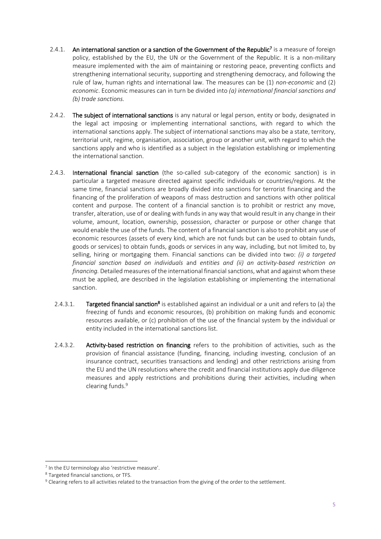- 2.4.1. An international sanction or a sanction of the Government of the Republic<sup>7</sup> is a measure of foreign policy, established by the EU, the UN or the Government of the Republic. It is a non-military measure implemented with the aim of maintaining or restoring peace, preventing conflicts and strengthening international security, supporting and strengthening democracy, and following the rule of law, human rights and international law. The measures can be (1) *non-economic* and (2) *economic*. Economic measures can in turn be divided into *(a) international financial sanctions and (b) trade sanctions.*
- 2.4.2. The subject of international sanctions is any natural or legal person, entity or body, designated in the legal act imposing or implementing international sanctions, with regard to which the international sanctions apply. The subject of international sanctions may also be a state, territory, territorial unit, regime, organisation, association, group or another unit, with regard to which the sanctions apply and who is identified as a subject in the legislation establishing or implementing the international sanction.
- 2.4.3. International financial sanction (the so-called sub-category of the economic sanction) is in particular a targeted measure directed against specific individuals or countries/regions. At the same time, financial sanctions are broadly divided into sanctions for terrorist financing and the financing of the proliferation of weapons of mass destruction and sanctions with other political content and purpose. The content of a financial sanction is to prohibit or restrict any move, transfer, alteration, use of or dealing with funds in any way that would result in any change in their volume, amount, location, ownership, possession, character or purpose or other change that would enable the use of the funds. The content of a financial sanction is also to prohibit any use of economic resources (assets of every kind, which are not funds but can be used to obtain funds, goods or services) to obtain funds, goods or services in any way, including, but not limited to, by selling, hiring or mortgaging them. Financial sanctions can be divided into two: *(i) a targeted financial sanction based on individuals* and *entities and (ii) an activity-based restriction on financing.* Detailed measures of the international financial sanctions, what and against whom these must be applied, are described in the legislation establishing or implementing the international sanction.
	- 2.4.3.1. Targeted financial sanction<sup>8</sup> is established against an individual or a unit and refers to (a) the freezing of funds and economic resources, (b) prohibition on making funds and economic resources available, or (c) prohibition of the use of the financial system by the individual or entity included in the international sanctions list.
	- 2.4.3.2. Activity-based restriction on financing refers to the prohibition of activities, such as the provision of financial assistance (funding, financing, including investing, conclusion of an insurance contract, securities transactions and lending) and other restrictions arising from the EU and the UN resolutions where the credit and financial institutions apply due diligence measures and apply restrictions and prohibitions during their activities, including when clearing funds.<sup>9</sup>

-

<sup>&</sup>lt;sup>7</sup> In the EU terminology also 'restrictive measure'.

<sup>8</sup> Targeted financial sanctions, or TFS.

<sup>9</sup> Clearing refers to all activities related to the transaction from the giving of the order to the settlement.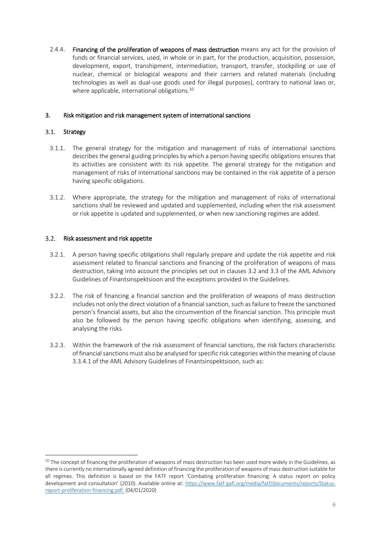2.4.4. Financing of the proliferation of weapons of mass destruction means any act for the provision of funds or financial services, used, in whole or in part, for the production, acquisition, possession, development, export, transhipment, intermediation, transport, transfer, stockpiling or use of nuclear, chemical or biological weapons and their carriers and related materials (including technologies as well as dual-use goods used for illegal purposes), contrary to national laws or, where applicable, international obligations.<sup>10</sup>

## <span id="page-6-0"></span>3. Risk mitigation and risk management system of international sanctions

#### <span id="page-6-1"></span> $3.1.$ Strategy

-

- 3.1.1. The general strategy for the mitigation and management of risks of international sanctions describes the general guiding principles by which a person having specific obligations ensures that its activities are consistent with its risk appetite. The general strategy for the mitigation and management of risks of international sanctions may be contained in the risk appetite of a person having specific obligations.
- 3.1.2. Where appropriate, the strategy for the mitigation and management of risks of international sanctions shall be reviewed and updated and supplemented, including when the risk assessment or risk appetite is updated and supplemented, or when new sanctioning regimes are added.

#### <span id="page-6-2"></span> $3.2.$ Risk assessment and risk appetite

- 3.2.1. A person having specific obligations shall regularly prepare and update the risk appetite and risk assessment related to financial sanctions and financing of the proliferation of weapons of mass destruction, taking into account the principles set out in clauses 3.2 and 3.3 of the AML Advisory Guidelines of Finantsinspektsioon and the exceptions provided in the Guidelines.
- 3.2.2. The risk of financing a financial sanction and the proliferation of weapons of mass destruction includes not only the direct violation of a financial sanction, such as failure to freeze the sanctioned person's financial assets, but also the circumvention of the financial sanction. This principle must also be followed by the person having specific obligations when identifying, assessing, and analysing the risks.
- 3.2.3. Within the framework of the risk assessment of financial sanctions, the risk factors characteristic of financial sanctions must also be analysed for specific risk categories within the meaning of clause 3.3.4.1 of the AML Advisory Guidelines of Finantsinspektsioon, such as:

 $10$  The concept of financing the proliferation of weapons of mass destruction has been used more widely in the Guidelines, as there is currently no internationally agreed definition of financing the proliferation of weapons of mass destruction suitable for all regimes. This definition is based on the FATF report 'Combating proliferation financing: A status report on policy development and consultation' (2010). Available online at: [https://www.fatf-gafi.org/media/fatf/documents/reports/Status](https://www.fatf-gafi.org/media/fatf/documents/reports/Status-report-proliferation-financing.pdf)[report-proliferation-financing.pdf.](https://www.fatf-gafi.org/media/fatf/documents/reports/Status-report-proliferation-financing.pdf) (04/01/2020)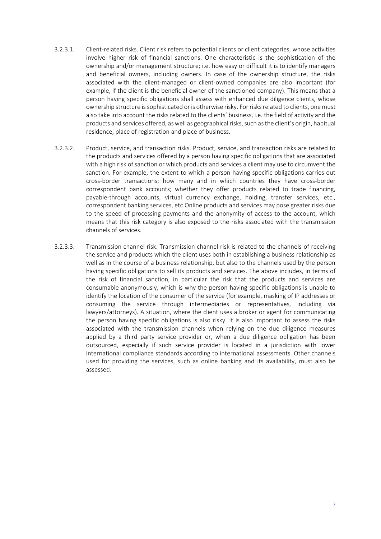- 3.2.3.1. Client-related risks. Client risk refers to potential clients or client categories, whose activities involve higher risk of financial sanctions. One characteristic is the sophistication of the ownership and/or management structure; i.e. how easy or difficult it is to identify managers and beneficial owners, including owners. In case of the ownership structure, the risks associated with the client-managed or client-owned companies are also important (for example, if the client is the beneficial owner of the sanctioned company). This means that a person having specific obligations shall assess with enhanced due diligence clients, whose ownership structure is sophisticated or is otherwise risky. For risks related to clients, one must also take into account the risks related to the clients' business, i.e. the field of activity and the products and services offered, as well as geographical risks, such as the client's origin, habitual residence, place of registration and place of business.
- 3.2.3.2. Product, service, and transaction risks. Product, service, and transaction risks are related to the products and services offered by a person having specific obligations that are associated with a high risk of sanction or which products and services a client may use to circumvent the sanction. For example, the extent to which a person having specific obligations carries out cross-border transactions; how many and in which countries they have cross-border correspondent bank accounts; whether they offer products related to trade financing, payable-through accounts, virtual currency exchange, holding, transfer services, etc., correspondent banking services, etc.Online products and services may pose greater risks due to the speed of processing payments and the anonymity of access to the account, which means that this risk category is also exposed to the risks associated with the transmission channels of services.
- 3.2.3.3. Transmission channel risk. Transmission channel risk is related to the channels of receiving the service and products which the client uses both in establishing a business relationship as well as in the course of a business relationship, but also to the channels used by the person having specific obligations to sell its products and services. The above includes, in terms of the risk of financial sanction, in particular the risk that the products and services are consumable anonymously, which is why the person having specific obligations is unable to identify the location of the consumer of the service (for example, masking of IP addresses or consuming the service through intermediaries or representatives, including via lawyers/attorneys). A situation, where the client uses a broker or agent for communicating the person having specific obligations is also risky. It is also important to assess the risks associated with the transmission channels when relying on the due diligence measures applied by a third party service provider or, when a due diligence obligation has been outsourced, especially if such service provider is located in a jurisdiction with lower international compliance standards according to international assessments. Other channels used for providing the services, such as online banking and its availability, must also be assessed.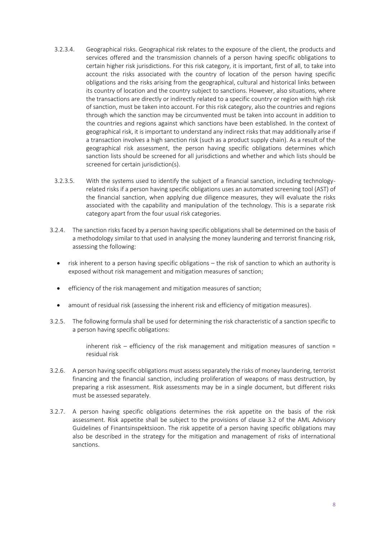- 3.2.3.4. Geographical risks. Geographical risk relates to the exposure of the client, the products and services offered and the transmission channels of a person having specific obligations to certain higher risk jurisdictions. For this risk category, it is important, first of all, to take into account the risks associated with the country of location of the person having specific obligations and the risks arising from the geographical, cultural and historical links between its country of location and the country subject to sanctions. However, also situations, where the transactions are directly or indirectly related to a specific country or region with high risk of sanction, must be taken into account. For this risk category, also the countries and regions through which the sanction may be circumvented must be taken into account in addition to the countries and regions against which sanctions have been established. In the context of geographical risk, it is important to understand any indirect risks that may additionally arise if a transaction involves a high sanction risk (such as a product supply chain). As a result of the geographical risk assessment, the person having specific obligations determines which sanction lists should be screened for all jurisdictions and whether and which lists should be screened for certain jurisdiction(s).
- 3.2.3.5. With the systems used to identify the subject of a financial sanction, including technologyrelated risks if a person having specific obligations uses an automated screening tool (AST) of the financial sanction, when applying due diligence measures, they will evaluate the risks associated with the capability and manipulation of the technology. This is a separate risk category apart from the four usual risk categories.
- 3.2.4. The sanction risks faced by a person having specific obligations shall be determined on the basis of a methodology similar to that used in analysing the money laundering and terrorist financing risk, assessing the following:
	- risk inherent to a person having specific obligations the risk of sanction to which an authority is exposed without risk management and mitigation measures of sanction;
	- efficiency of the risk management and mitigation measures of sanction;
	- amount of residual risk (assessing the inherent risk and efficiency of mitigation measures).
- 3.2.5. The following formula shall be used for determining the risk characteristic of a sanction specific to a person having specific obligations:

inherent risk – efficiency of the risk management and mitigation measures of sanction  $=$ residual risk

- 3.2.6. A person having specific obligations must assess separately the risks of money laundering, terrorist financing and the financial sanction, including proliferation of weapons of mass destruction, by preparing a risk assessment. Risk assessments may be in a single document, but different risks must be assessed separately.
- <span id="page-8-0"></span>3.2.7. A person having specific obligations determines the risk appetite on the basis of the risk assessment. Risk appetite shall be subject to the provisions of clause 3.2 of the AML Advisory Guidelines of Finantsinspektsioon. The risk appetite of a person having specific obligations may also be described in the strategy for the mitigation and management of risks of international sanctions.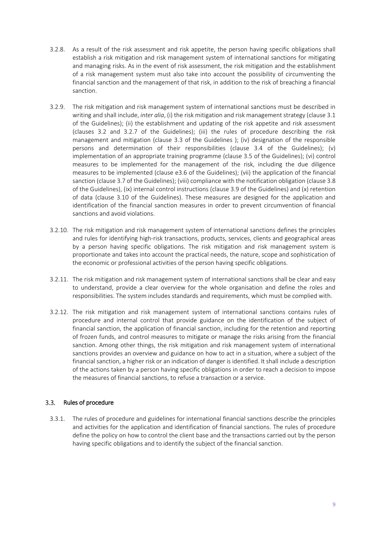- 3.2.8. As a result of the risk assessment and risk appetite, the person having specific obligations shall establish a risk mitigation and risk management system of international sanctions for mitigating and managing risks. As in the event of risk assessment, the risk mitigation and the establishment of a risk management system must also take into account the possibility of circumventing the financial sanction and the management of that risk, in addition to the risk of breaching a financial sanction.
- 3.2.9. The risk mitigation and risk management system of international sanctions must be described in writing and shall include, *inter alia*, (i) the risk mitigation and risk management strategy (claus[e 3.1](#page-6-1) of the Guidelines); (ii) the establishment and updating of the risk appetite and risk assessment (clauses [3.2](#page-6-2) and [3.2.7](#page-8-0) of the Guidelines); (iii) the rules of procedure describing the risk management and mitigation (clause [3.3](#page-9-0) of the Guidelines ); (iv) designation of the responsible persons and determination of their responsibilities (clause [3.4](#page-10-0) of the Guidelines); (v) implementation of an appropriate training programme (clause [3.5](#page-11-0) of the Guidelines); (vi) control measures to be implemented for the management of the risk, including the due diligence measures to be implemented (clause [e3.6](#page-11-1) of the Guidelines); (vii) the application of the financial sanction (clause [3.7](#page-13-0) of the Guidelines); (viii) compliance with the notification obligation (claus[e 3.8](#page-14-0) of the Guidelines), (ix) internal control instructions (claus[e 3.9](#page-15-0) of the Guidelines) and (x) retention of data (clause [3.10](#page-16-0) of the Guidelines). These measures are designed for the application and identification of the financial sanction measures in order to prevent circumvention of financial sanctions and avoid violations.
- 3.2.10. The risk mitigation and risk management system of international sanctions defines the principles and rules for identifying high-risk transactions, products, services, clients and geographical areas by a person having specific obligations. The risk mitigation and risk management system is proportionate and takes into account the practical needs, the nature, scope and sophistication of the economic or professional activities of the person having specific obligations.
- 3.2.11. The risk mitigation and risk management system of international sanctions shall be clear and easy to understand, provide a clear overview for the whole organisation and define the roles and responsibilities. The system includes standards and requirements, which must be complied with.
- 3.2.12. The risk mitigation and risk management system of international sanctions contains rules of procedure and internal control that provide guidance on the identification of the subject of financial sanction, the application of financial sanction, including for the retention and reporting of frozen funds, and control measures to mitigate or manage the risks arising from the financial sanction. Among other things, the risk mitigation and risk management system of international sanctions provides an overview and guidance on how to act in a situation, where a subject of the financial sanction, a higher risk or an indication of danger is identified. It shall include a description of the actions taken by a person having specific obligations in order to reach a decision to impose the measures of financial sanctions, to refuse a transaction or a service.

#### <span id="page-9-0"></span> $3.3.$ Rules of procedure

3.3.1. The rules of procedure and guidelines for international financial sanctions describe the principles and activities for the application and identification of financial sanctions. The rules of procedure define the policy on how to control the client base and the transactions carried out by the person having specific obligations and to identify the subject of the financial sanction.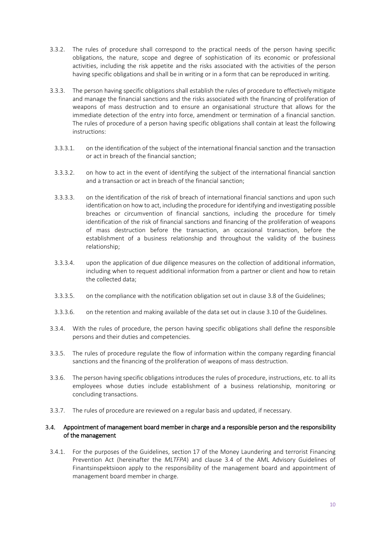- 3.3.2. The rules of procedure shall correspond to the practical needs of the person having specific obligations, the nature, scope and degree of sophistication of its economic or professional activities, including the risk appetite and the risks associated with the activities of the person having specific obligations and shall be in writing or in a form that can be reproduced in writing.
- 3.3.3. The person having specific obligations shall establish the rules of procedure to effectively mitigate and manage the financial sanctions and the risks associated with the financing of proliferation of weapons of mass destruction and to ensure an organisational structure that allows for the immediate detection of the entry into force, amendment or termination of a financial sanction. The rules of procedure of a person having specific obligations shall contain at least the following instructions:
	- 3.3.3.1. on the identification of the subject of the international financial sanction and the transaction or act in breach of the financial sanction;
	- 3.3.3.2. on how to act in the event of identifying the subject of the international financial sanction and a transaction or act in breach of the financial sanction;
	- 3.3.3.3. on the identification of the risk of breach of international financial sanctions and upon such identification on how to act, including the procedure for identifying and investigating possible breaches or circumvention of financial sanctions, including the procedure for timely identification of the risk of financial sanctions and financing of the proliferation of weapons of mass destruction before the transaction, an occasional transaction, before the establishment of a business relationship and throughout the validity of the business relationship;
	- 3.3.3.4. upon the application of due diligence measures on the collection of additional information, including when to request additional information from a partner or client and how to retain the collected data;
	- 3.3.3.5. on the compliance with the notification obligation set out in claus[e 3.8](#page-14-0) of the Guidelines;
- 3.3.3.6. on the retention and making available of the data set out in clause [3.10](#page-16-0) of the Guidelines.
- 3.3.4. With the rules of procedure, the person having specific obligations shall define the responsible persons and their duties and competencies.
- 3.3.5. The rules of procedure regulate the flow of information within the company regarding financial sanctions and the financing of the proliferation of weapons of mass destruction.
- 3.3.6. The person having specific obligations introduces the rules of procedure, instructions, etc. to all its employees whose duties include establishment of a business relationship, monitoring or concluding transactions.
- 3.3.7. The rules of procedure are reviewed on a regular basis and updated, if necessary.

### <span id="page-10-0"></span>Appointment of management board member in charge and a responsible person and the responsibility of the management

3.4.1. For the purposes of the Guidelines, section 17 of the Money Laundering and terrorist Financing Prevention Act (hereinafter the *MLTFPA*) and clause 3.4 of the AML Advisory Guidelines of Finantsinspektsioon apply to the responsibility of the management board and appointment of management board member in charge.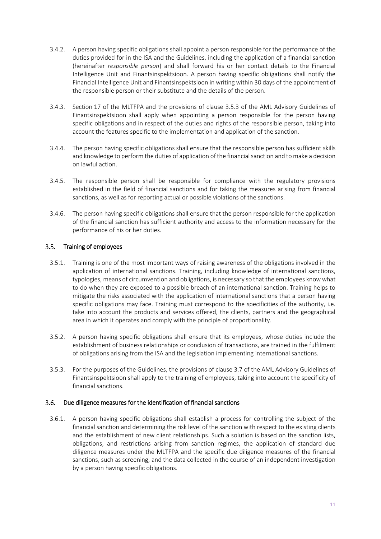- 3.4.2. A person having specific obligations shall appoint a person responsible for the performance of the duties provided for in the ISA and the Guidelines, including the application of a financial sanction (hereinafter *responsible person*) and shall forward his or her contact details to the Financial Intelligence Unit and Finantsinspektsioon. A person having specific obligations shall notify the Financial Intelligence Unit and Finantsinspektsioon in writing within 30 days of the appointment of the responsible person or their substitute and the details of the person.
- 3.4.3. Section 17 of the MLTFPA and the provisions of clause 3.5.3 of the AML Advisory Guidelines of Finantsinspektsioon shall apply when appointing a person responsible for the person having specific obligations and in respect of the duties and rights of the responsible person, taking into account the features specific to the implementation and application of the sanction.
- 3.4.4. The person having specific obligations shall ensure that the responsible person has sufficient skills and knowledge to perform the duties of application of the financial sanction and to make a decision on lawful action.
- 3.4.5. The responsible person shall be responsible for compliance with the regulatory provisions established in the field of financial sanctions and for taking the measures arising from financial sanctions, as well as for reporting actual or possible violations of the sanctions.
- 3.4.6. The person having specific obligations shall ensure that the person responsible for the application of the financial sanction has sufficient authority and access to the information necessary for the performance of his or her duties.

## <span id="page-11-0"></span>3.5. Training of employees

- 3.5.1. Training is one of the most important ways of raising awareness of the obligations involved in the application of international sanctions. Training, including knowledge of international sanctions, typologies, means of circumvention and obligations, is necessary so that the employees know what to do when they are exposed to a possible breach of an international sanction. Training helps to mitigate the risks associated with the application of international sanctions that a person having specific obligations may face. Training must correspond to the specificities of the authority, i.e. take into account the products and services offered, the clients, partners and the geographical area in which it operates and comply with the principle of proportionality.
- 3.5.2. A person having specific obligations shall ensure that its employees, whose duties include the establishment of business relationships or conclusion of transactions, are trained in the fulfilment of obligations arising from the ISA and the legislation implementing international sanctions.
- 3.5.3. For the purposes of the Guidelines, the provisions of clause 3.7 of the AML Advisory Guidelines of Finantsinspektsioon shall apply to the training of employees, taking into account the specificity of financial sanctions.

#### <span id="page-11-1"></span> $3.6.$ Due diligence measures for the identification of financial sanctions

3.6.1. A person having specific obligations shall establish a process for controlling the subject of the financial sanction and determining the risk level of the sanction with respect to the existing clients and the establishment of new client relationships. Such a solution is based on the sanction lists, obligations, and restrictions arising from sanction regimes, the application of standard due diligence measures under the MLTFPA and the specific due diligence measures of the financial sanctions, such as screening, and the data collected in the course of an independent investigation by a person having specific obligations.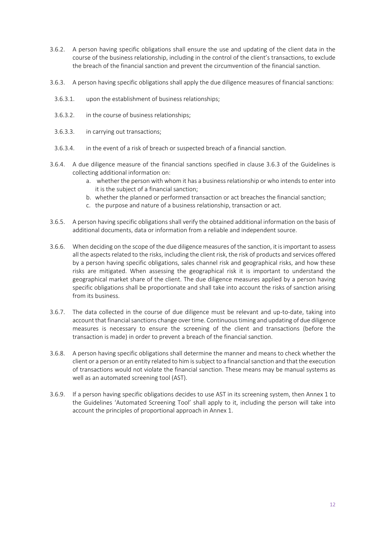- 3.6.2. A person having specific obligations shall ensure the use and updating of the client data in the course of the business relationship, including in the control of the client's transactions, to exclude the breach of the financial sanction and prevent the circumvention of the financial sanction.
- 3.6.3. A person having specific obligations shall apply the due diligence measures of financial sanctions:
	- 3.6.3.1. upon the establishment of business relationships;
	- 3.6.3.2. in the course of business relationships;
	- 3.6.3.3. in carrying out transactions;
	- 3.6.3.4. in the event of a risk of breach or suspected breach of a financial sanction.
- 3.6.4. A due diligence measure of the financial sanctions specified in clause 3.6.3 of the Guidelines is collecting additional information on:
	- a. whether the person with whom it has a business relationship or who intends to enter into it is the subject of a financial sanction;
	- b. whether the planned or performed transaction or act breaches the financial sanction;
	- c. the purpose and nature of a business relationship, transaction or act.
- 3.6.5. A person having specific obligations shall verify the obtained additional information on the basis of additional documents, data or information from a reliable and independent source.
- 3.6.6. When deciding on the scope of the due diligence measures of the sanction, it is important to assess all the aspects related to the risks, including the client risk, the risk of products and services offered by a person having specific obligations, sales channel risk and geographical risks, and how these risks are mitigated. When assessing the geographical risk it is important to understand the geographical market share of the client. The due diligence measures applied by a person having specific obligations shall be proportionate and shall take into account the risks of sanction arising from its business.
- 3.6.7. The data collected in the course of due diligence must be relevant and up-to-date, taking into account that financial sanctions change over time. Continuous timing and updating of due diligence measures is necessary to ensure the screening of the client and transactions (before the transaction is made) in order to prevent a breach of the financial sanction.
- 3.6.8. A person having specific obligations shall determine the manner and means to check whether the client or a person or an entity related to him is subject to a financial sanction and that the execution of transactions would not violate the financial sanction. These means may be manual systems as well as an automated screening tool (AST).
- 3.6.9. If a person having specific obligations decides to use AST in its screening system, then Annex 1 to the Guidelines 'Automated Screening Tool' shall apply to it, including the person will take into account the principles of proportional approach in Annex 1.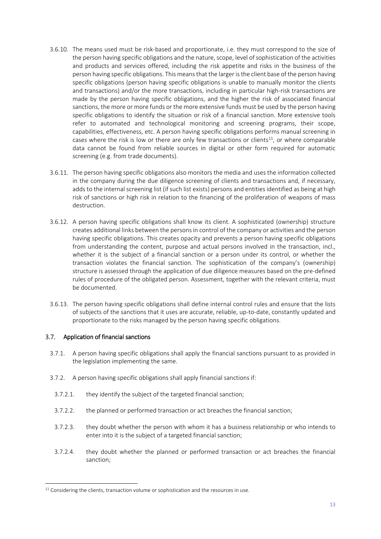- <span id="page-13-1"></span>3.6.10. The means used must be risk-based and proportionate, i.e. they must correspond to the size of the person having specific obligations and the nature, scope, level of sophistication of the activities and products and services offered, including the risk appetite and risks in the business of the person having specific obligations. This means that the larger is the client base of the person having specific obligations (person having specific obligations is unable to manually monitor the clients and transactions) and/or the more transactions, including in particular high-risk transactions are made by the person having specific obligations, and the higher the risk of associated financial sanctions, the more or more funds or the more extensive funds must be used by the person having specific obligations to identify the situation or risk of a financial sanction. More extensive tools refer to automated and technological monitoring and screening programs, their scope, capabilities, effectiveness, etc. A person having specific obligations performs manual screening in cases where the risk is low or there are only few transactions or clients<sup>11</sup>, or where comparable data cannot be found from reliable sources in digital or other form required for automatic screening (e.g. from trade documents).
- 3.6.11. The person having specific obligations also monitors the media and uses the information collected in the company during the due diligence screening of clients and transactions and, if necessary, adds to the internal screening list (if such list exists) persons and entities identified as being at high risk of sanctions or high risk in relation to the financing of the proliferation of weapons of mass destruction.
- 3.6.12. A person having specific obligations shall know its client. A sophisticated (ownership) structure creates additional links between the persons in control of the company or activities and the person having specific obligations. This creates opacity and prevents a person having specific obligations from understanding the content, purpose and actual persons involved in the transaction, incl., whether it is the subject of a financial sanction or a person under its control, or whether the transaction violates the financial sanction. The sophistication of the company's (ownership) structure is assessed through the application of due diligence measures based on the pre-defined rules of procedure of the obligated person. Assessment, together with the relevant criteria, must be documented.
- 3.6.13. The person having specific obligations shall define internal control rules and ensure that the lists of subjects of the sanctions that it uses are accurate, reliable, up-to-date, constantly updated and proportionate to the risks managed by the person having specific obligations.

### <span id="page-13-0"></span>3.7. Application of financial sanctions

-

- 3.7.1. A person having specific obligations shall apply the financial sanctions pursuant to as provided in the legislation implementing the same.
- 3.7.2. A person having specific obligations shall apply financial sanctions if:
	- 3.7.2.1. they identify the subject of the targeted financial sanction;
	- 3.7.2.2. the planned or performed transaction or act breaches the financial sanction;
	- 3.7.2.3. they doubt whether the person with whom it has a business relationship or who intends to enter into it is the subject of a targeted financial sanction;
	- 3.7.2.4. they doubt whether the planned or performed transaction or act breaches the financial sanction;

 $11$  Considering the clients, transaction volume or sophistication and the resources in use.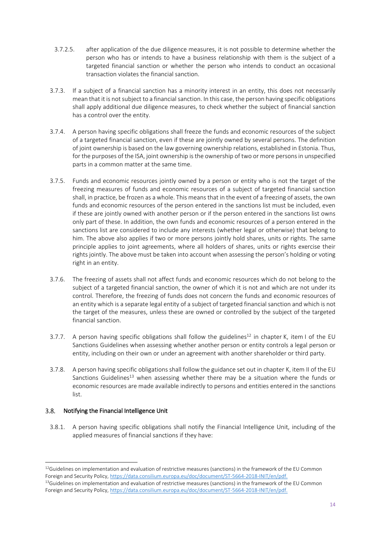- 3.7.2.5. after application of the due diligence measures, it is not possible to determine whether the person who has or intends to have a business relationship with them is the subject of a targeted financial sanction or whether the person who intends to conduct an occasional transaction violates the financial sanction.
- 3.7.3. If a subject of a financial sanction has a minority interest in an entity, this does not necessarily mean that it is not subject to a financial sanction. In this case, the person having specific obligations shall apply additional due diligence measures, to check whether the subject of financial sanction has a control over the entity.
- 3.7.4. A person having specific obligations shall freeze the funds and economic resources of the subject of a targeted financial sanction, even if these are jointly owned by several persons. The definition of joint ownership is based on the law governing ownership relations, established in Estonia. Thus, for the purposes of the ISA, joint ownership is the ownership of two or more persons in unspecified parts in a common matter at the same time.
- 3.7.5. Funds and economic resources jointly owned by a person or entity who is not the target of the freezing measures of funds and economic resources of a subject of targeted financial sanction shall, in practice, be frozen as a whole. This means that in the event of a freezing of assets, the own funds and economic resources of the person entered in the sanctions list must be included, even if these are jointly owned with another person or if the person entered in the sanctions list owns only part of these. In addition, the own funds and economic resources of a person entered in the sanctions list are considered to include any interests (whether legal or otherwise) that belong to him. The above also applies if two or more persons jointly hold shares, units or rights. The same principle applies to joint agreements, where all holders of shares, units or rights exercise their rights jointly. The above must be taken into account when assessing the person's holding or voting right in an entity.
- 3.7.6. The freezing of assets shall not affect funds and economic resources which do not belong to the subject of a targeted financial sanction, the owner of which it is not and which are not under its control. Therefore, the freezing of funds does not concern the funds and economic resources of an entity which is a separate legal entity of a subject of targeted financial sanction and which is not the target of the measures, unless these are owned or controlled by the subject of the targeted financial sanction.
- 3.7.7. A person having specific obligations shall follow the guidelines<sup>12</sup> in chapter K, item I of the EU Sanctions Guidelines when assessing whether another person or entity controls a legal person or entity, including on their own or under an agreement with another shareholder or third party.
- 3.7.8. A person having specific obligations shall follow the guidance set out in chapter K, item II of the EU Sanctions Guidelines<sup>13</sup> when assessing whether there may be a situation where the funds or economic resources are made available indirectly to persons and entities entered in the sanctions list.

#### <span id="page-14-0"></span> $3.8.$ Notifying the Financial Intelligence Unit

3.8.1. A person having specific obligations shall notify the Financial Intelligence Unit, including of the applied measures of financial sanctions if they have:

<sup>-</sup> $12$ Guidelines on implementation and evaluation of restrictive measures (sanctions) in the framework of the EU Common Foreign and Security Policy[, https://data.consilium.europa.eu/doc/document/ST-5664-2018-INIT/en/pdf.](https://data.consilium.europa.eu/doc/document/ST-5664-2018-INIT/et/pdf) 

 $13$ Guidelines on implementation and evaluation of restrictive measures (sanctions) in the framework of the EU Common Foreign and Security Policy[, https://data.consilium.europa.eu/doc/document/ST-5664-2018-INIT/en/pdf.](https://data.consilium.europa.eu/doc/document/ST-5664-2018-INIT/et/pdf)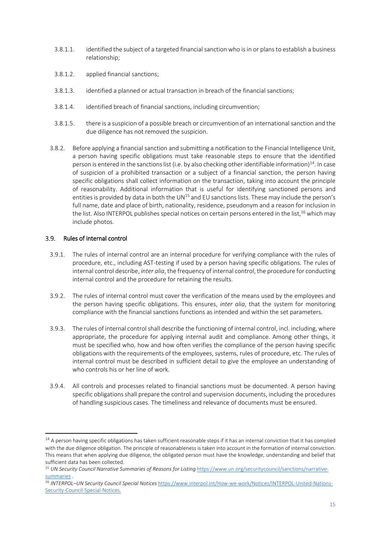- 3.8.1.1. identified the subject of a targeted financial sanction who is in or plans to establish a business relationship;
- 3.8.1.2. applied financial sanctions;
- 3.8.1.3. identified a planned or actual transaction in breach of the financial sanctions;
- 3.8.1.4. identified breach of financial sanctions, including circumvention;
- 3.8.1.5. there is a suspicion of a possible breach or circumvention of an international sanction and the due diligence has not removed the suspicion.
- 3.8.2. Before applying a financial sanction and submitting a notification to the Financial Intelligence Unit, a person having specific obligations must take reasonable steps to ensure that the identified person is entered in the sanctions list (i.e. by also checking other identifiable information)<sup>14</sup>. In case of suspicion of a prohibited transaction or a subject of a financial sanction, the person having specific obligations shall collect information on the transaction, taking into account the principle of reasonability. Additional information that is useful for identifying sanctioned persons and entities is provided by data in both the UN $<sup>15</sup>$  and EU sanctions lists. These may include the person's</sup> full name, date and place of birth, nationality, residence, pseudonym and a reason for inclusion in the list. Also INTERPOL publishes special notices on certain persons entered in the list,  $16$  which may include photos.

#### <span id="page-15-0"></span>Rules of internal control  $3.9.$

-

- 3.9.1. The rules of internal control are an internal procedure for verifying compliance with the rules of procedure, etc., including AST-testing if used by a person having specific obligations. The rules of internal control describe, *inter alia*, the frequency of internal control, the procedure for conducting internal control and the procedure for retaining the results.
- 3.9.2. The rules of internal control must cover the verification of the means used by the employees and the person having specific obligations. This ensures, *inter alia*, that the system for monitoring compliance with the financial sanctions functions as intended and within the set parameters.
- 3.9.3. The rules of internal control shall describe the functioning of internal control, incl. including, where appropriate, the procedure for applying internal audit and compliance. Among other things, it must be specified who, how and how often verifies the compliance of the person having specific obligations with the requirements of the employees, systems, rules of procedure, etc. The rules of internal control must be described in sufficient detail to give the employee an understanding of who controls his or her line of work.
- 3.9.4. All controls and processes related to financial sanctions must be documented. A person having specific obligations shall prepare the control and supervision documents, including the procedures of handling suspicious cases. The timeliness and relevance of documents must be ensured.

 $14$  A person having specific obligations has taken sufficient reasonable steps if it has an internal conviction that it has complied with the due diligence obligation. The principle of reasonableness is taken into account in the formation of internal conviction. This means that when applying due diligence, the obligated person must have the knowledge, understanding and belief that sufficient data has been collected.

<sup>&</sup>lt;sup>15</sup> *UN Security Council Narrative Summaries of Reasons for Listing [https://www.un.org/securitycouncil/sanctions/narrative](https://www.un.org/securitycouncil/sanctions/narrative-summaries)*[summaries](https://www.un.org/securitycouncil/sanctions/narrative-summaries) .

<sup>16</sup> *INTERPOL–UN Security Council Special Notices* [https://www.interpol.int/How-we-work/Notices/INTERPOL-United-Nations-](https://www.interpol.int/How-we-work/Notices/INTERPOL-United-Nations-Security-Council-Special-Notices)[Security-Council-Special-Notices.](https://www.interpol.int/How-we-work/Notices/INTERPOL-United-Nations-Security-Council-Special-Notices)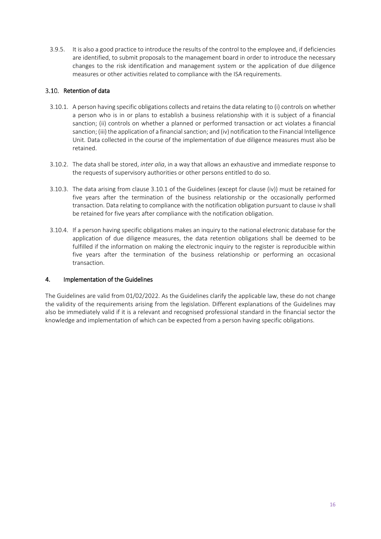3.9.5. It is also a good practice to introduce the results of the control to the employee and, if deficiencies are identified, to submit proposals to the management board in order to introduce the necessary changes to the risk identification and management system or the application of due diligence measures or other activities related to compliance with the ISA requirements.

## <span id="page-16-0"></span>3.10. Retention of data

- <span id="page-16-2"></span>3.10.1. A person having specific obligations collects and retains the data relating to (i) controls on whether a person who is in or plans to establish a business relationship with it is subject of a financial sanction; (ii) controls on whether a planned or performed transaction or act violates a financial sanction; (iii) the application of a financial sanction; and (iv) notification to the Financial Intelligence Unit. Data collected in the course of the implementation of due diligence measures must also be retained.
- 3.10.2. The data shall be stored, *inter alia*, in a way that allows an exhaustive and immediate response to the requests of supervisory authorities or other persons entitled to do so.
- 3.10.3. The data arising from clause [3.10.1](#page-16-2) of the Guidelines (except for clause (iv)) must be retained for five years after the termination of the business relationship or the occasionally performed transaction. Data relating to compliance with the notification obligation pursuant to clause iv shall be retained for five years after compliance with the notification obligation.
- 3.10.4. If a person having specific obligations makes an inquiry to the national electronic database for the application of due diligence measures, the data retention obligations shall be deemed to be fulfilled if the information on making the electronic inquiry to the register is reproducible within five years after the termination of the business relationship or performing an occasional transaction.

### <span id="page-16-1"></span>4. Implementation of the Guidelines

The Guidelines are valid from 01/02/2022. As the Guidelines clarify the applicable law, these do not change the validity of the requirements arising from the legislation. Different explanations of the Guidelines may also be immediately valid if it is a relevant and recognised professional standard in the financial sector the knowledge and implementation of which can be expected from a person having specific obligations.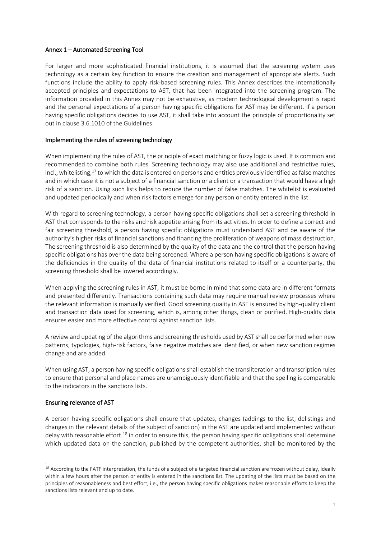#### <span id="page-17-0"></span>Annex 1 – Automated Screening Tool

For larger and more sophisticated financial institutions, it is assumed that the screening system uses technology as a certain key function to ensure the creation and management of appropriate alerts. Such functions include the ability to apply risk-based screening rules. This Annex describes the internationally accepted principles and expectations to AST, that has been integrated into the screening program. The information provided in this Annex may not be exhaustive, as modern technological development is rapid and the personal expectations of a person having specific obligations for AST may be different. If a person having specific obligations decides to use AST, it shall take into account the principle of proportionality set out in claus[e 3.6.101](#page-13-1)0 of the Guidelines.

#### Implementing the rules of screening technology

When implementing the rules of AST, the principle of exact matching or fuzzy logic is used. It is common and recommended to combine both rules. Screening technology may also use additional and restrictive rules, incl., whitelisting,<sup>17</sup> to which the data is entered on persons and entities previously identified as false matches and in which case it is not a subject of a financial sanction or a client or a transaction that would have a high risk of a sanction. Using such lists helps to reduce the number of false matches. The whitelist is evaluated and updated periodically and when risk factors emerge for any person or entity entered in the list.

With regard to screening technology, a person having specific obligations shall set a screening threshold in AST that corresponds to the risks and risk appetite arising from its activities. In order to define a correct and fair screening threshold, a person having specific obligations must understand AST and be aware of the authority's higher risks of financial sanctions and financing the proliferation of weapons of mass destruction. The screening threshold is also determined by the quality of the data and the control that the person having specific obligations has over the data being screened. Where a person having specific obligations is aware of the deficiencies in the quality of the data of financial institutions related to itself or a counterparty, the screening threshold shall be lowered accordingly.

When applying the screening rules in AST, it must be borne in mind that some data are in different formats and presented differently. Transactions containing such data may require manual review processes where the relevant information is manually verified. Good screening quality in AST is ensured by high-quality client and transaction data used for screening, which is, among other things, clean or purified. High-quality data ensures easier and more effective control against sanction lists.

A review and updating of the algorithms and screening thresholds used by AST shall be performed when new patterns, typologies, high-risk factors, false negative matches are identified, or when new sanction regimes change and are added.

When using AST, a person having specific obligations shall establish the transliteration and transcription rules to ensure that personal and place names are unambiguously identifiable and that the spelling is comparable to the indicators in the sanctions lists.

### Ensuring relevance of AST

-.

A person having specific obligations shall ensure that updates, changes (addings to the list, delistings and changes in the relevant details of the subject of sanction) in the AST are updated and implemented without delay with reasonable effort.<sup>18</sup> in order to ensure this, the person having specific obligations shall determine which updated data on the sanction, published by the competent authorities, shall be monitored by the

<sup>&</sup>lt;sup>18</sup> According to the FATF interpretation, the funds of a subject of a targeted financial sanction are frozen without delay, ideally within a few hours after the person or entity is entered in the sanctions list. The updating of the lists must be based on the principles of reasonableness and best effort, i.e., the person having specific obligations makes reasonable efforts to keep the sanctions lists relevant and up to date.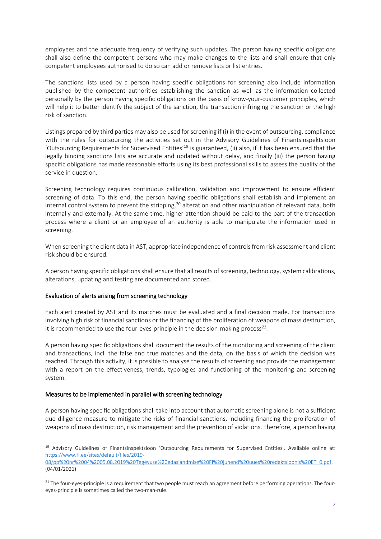employees and the adequate frequency of verifying such updates. The person having specific obligations shall also define the competent persons who may make changes to the lists and shall ensure that only competent employees authorised to do so can add or remove lists or list entries.

The sanctions lists used by a person having specific obligations for screening also include information published by the competent authorities establishing the sanction as well as the information collected personally by the person having specific obligations on the basis of know-your-customer principles, which will help it to better identify the subject of the sanction, the transaction infringing the sanction or the high risk of sanction.

Listings prepared by third parties may also be used for screening if (i) in the event of outsourcing, compliance with the rules for outsourcing the activities set out in the Advisory Guidelines of Finantsinspektsioon 'Outsourcing Requirements for Supervised Entities'<sup>19</sup> is guaranteed, (ii) also, if it has been ensured that the legally binding sanctions lists are accurate and updated without delay, and finally (iii) the person having specific obligations has made reasonable efforts using its best professional skills to assess the quality of the service in question.

Screening technology requires continuous calibration, validation and improvement to ensure efficient screening of data. To this end, the person having specific obligations shall establish and implement an internal control system to prevent the stripping,<sup>20</sup> alteration and other manipulation of relevant data, both internally and externally. At the same time, higher attention should be paid to the part of the transaction process where a client or an employee of an authority is able to manipulate the information used in screening.

When screening the client data in AST, appropriate independence of controls from risk assessment and client risk should be ensured.

A person having specific obligations shall ensure that all results of screening, technology, system calibrations, alterations, updating and testing are documented and stored.

### Evaluation of alerts arising from screening technology

Each alert created by AST and its matches must be evaluated and a final decision made. For transactions involving high risk of financial sanctions or the financing of the proliferation of weapons of mass destruction, it is recommended to use the four-eyes-principle in the decision-making process*<sup>21</sup>* .

A person having specific obligations shall document the results of the monitoring and screening of the client and transactions, incl. the false and true matches and the data, on the basis of which the decision was reached. Through this activity, it is possible to analyse the results of screening and provide the management with a report on the effectiveness, trends, typologies and functioning of the monitoring and screening system.

### Measures to be implemented in parallel with screening technology

A person having specific obligations shall take into account that automatic screening alone is not a sufficient due diligence measure to mitigate the risks of financial sanctions, including financing the proliferation of weapons of mass destruction, risk management and the prevention of violations. Therefore, a person having

<sup>-</sup><sup>19</sup> Advisory Guidelines of Finantsinspektsioon 'Outsourcing Requirements for Supervised Entities'. Available online at: [https://www.fi.ee/sites/default/files/2019-](https://www.fi.ee/sites/default/files/2019-08/pp%20nr%2004%2005.08.2019%20Tegevuse%20edasiandmise%20FI%20juhend%20uues%20redaktsioonis%20ET_0.pdf)

[<sup>08/</sup>pp%20nr%2004%2005.08.2019%20Tegevuse%20edasiandmise%20FI%20juhend%20uues%20redaktsioonis%20ET\\_0.pdf.](https://www.fi.ee/sites/default/files/2019-08/pp%20nr%2004%2005.08.2019%20Tegevuse%20edasiandmise%20FI%20juhend%20uues%20redaktsioonis%20ET_0.pdf) (04/01/2021)

<sup>.</sup>  <sup>21</sup> The four-eyes-principle is a requirement that two people must reach an agreement before performing operations. The foureyes-principle is sometimes called the two-man-rule.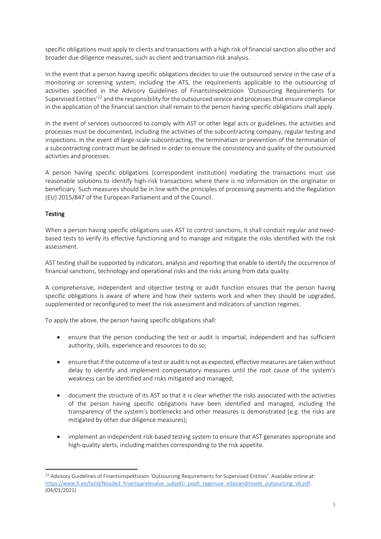specific obligations must apply to clients and transactions with a high risk of financial sanction also other and broader due diligence measures, such as client and transaction risk analysis.

In the event that a person having specific obligations decides to use the outsourced service in the case of a monitoring or screening system, including the ATS, the requirements applicable to the outsourcing of activities specified in the Advisory Guidelines of Finantsinspektsioon 'Outsourcing Requirements for Supervised Entities<sup>'22</sup> and the responsibility for the outsourced service and processes that ensure compliance in the application of the financial sanction shall remain to the person having specific obligations shall apply.

In the event of services outsourced to comply with AST or other legal acts or guidelines, the activities and processes must be documented, including the activities of the subcontracting company, regular testing and inspections. In the event of large-scale subcontracting, the termination or prevention of the termination of a subcontracting contract must be defined in order to ensure the consistency and quality of the outsourced activities and processes.

A person having specific obligations (correspondent institution) mediating the transactions must use reasonable solutions to identify high-risk transactions where there is no information on the originator or beneficiary. Such measures should be in line with the principles of processing payments and the Regulation (EU) 2015/847 of the European Parliament and of the Council.

# Testing

When a person having specific obligations uses AST to control sanctions, it shall conduct regular and needbased tests to verify its effective functioning and to manage and mitigate the risks identified with the risk assessment.

AST testing shall be supported by indicators, analysis and reporting that enable to identify the occurrence of financial sanctions, technology and operational risks and the risks arising from data quality.

A comprehensive, independent and objective testing or audit function ensures that the person having specific obligations is aware of where and how their systems work and when they should be upgraded, supplemented or reconfigured to meet the risk assessment and indicators of sanction regimes.

To apply the above, the person having specific obligations shall:

- ensure that the person conducting the test or audit is impartial, independent and has sufficient authority, skills, experience and resources to do so;
- ensure that if the outcome of a test or audit is not as expected, effective measures are taken without delay to identify and implement compensatory measures until the root cause of the system's weakness can be identified and risks mitigated and managed;
- document the structure of its AST so that it is clear whether the risks associated with the activities of the person having specific obligations have been identified and managed, including the transparency of the system's bottlenecks and other measures is demonstrated (e.g. the risks are mitigated by other due diligence measures);
- implement an independent risk-based testing system to ensure that AST generates appropriate and high-quality alerts, including matches corresponding to the risk appetite.

<sup>-</sup><sup>22</sup> Advisory Guidelines of Finantsinspektsioon 'Outsourcing Requirements for Supervised Entities'. Available online at: [https://www.fi.ee/failid/Nouded\\_finantsjarelevalve\\_subjekti\\_poolt\\_tegevuse\\_edasiandmisele\\_outsourcing\\_v6.pdf.](https://www.fi.ee/failid/Nouded_finantsjarelevalve_subjekti_poolt_tegevuse_edasiandmisele_outsourcing_v6.pdf) (04/01/2021)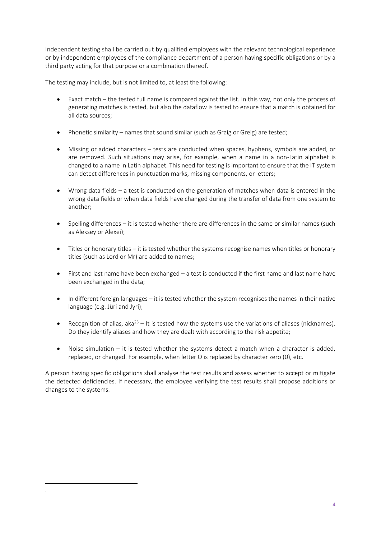Independent testing shall be carried out by qualified employees with the relevant technological experience or by independent employees of the compliance department of a person having specific obligations or by a third party acting for that purpose or a combination thereof.

The testing may include, but is not limited to, at least the following:

- Exact match the tested full name is compared against the list. In this way, not only the process of generating matches is tested, but also the dataflow is tested to ensure that a match is obtained for all data sources;
- Phonetic similarity names that sound similar (such as Graig or Greig) are tested;
- Missing or added characters tests are conducted when spaces, hyphens, symbols are added, or are removed. Such situations may arise, for example, when a name in a non-Latin alphabet is changed to a name in Latin alphabet. This need for testing is important to ensure that the IT system can detect differences in punctuation marks, missing components, or letters;
- Wrong data fields a test is conducted on the generation of matches when data is entered in the wrong data fields or when data fields have changed during the transfer of data from one system to another;
- Spelling differences it is tested whether there are differences in the same or similar names (such as Aleksey or Alexei);
- Titles or honorary titles it is tested whether the systems recognise names when titles or honorary titles (such as Lord or Mr) are added to names;
- First and last name have been exchanged a test is conducted if the first name and last name have been exchanged in the data;
- In different foreign languages it is tested whether the system recognises the names in their native language (e.g. Jüri and Jyri);
- **•** Recognition of alias, aka<sup>23</sup> It is tested how the systems use the variations of aliases (nicknames). Do they identify aliases and how they are dealt with according to the risk appetite;
- Noise simulation it is tested whether the systems detect a match when a character is added, replaced, or changed. For example, when letter O is replaced by character zero (0), etc.

A person having specific obligations shall analyse the test results and assess whether to accept or mitigate the detected deficiencies. If necessary, the employee verifying the test results shall propose additions or changes to the systems.

-.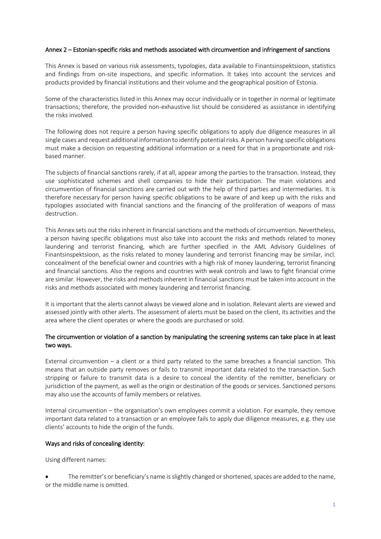#### <span id="page-21-0"></span>Annex 2 – Estonian-specific risks and methods associated with circumvention and infringement of sanctions

This Annex is based on various risk assessments, typologies, data available to Finantsinspektsioon, statistics and findings from on-site inspections, and specific information. It takes into account the services and products provided by financial institutions and their volume and the geographical position of Estonia.

Some of the characteristics listed in this Annex may occur individually or in together in normal or legitimate transactions; therefore, the provided non-exhaustive list should be considered as assistance in identifying the risks involved.

The following does not require a person having specific obligations to apply due diligence measures in all single cases and request additional information to identify potential risks. A person having specific obligations must make a decision on requesting additional information or a need for that in a proportionate and riskbased manner.

The subjects of financial sanctions rarely, if at all, appear among the parties to the transaction. Instead, they use sophisticated schemes and shell companies to hide their participation. The main violations and circumvention of financial sanctions are carried out with the help of third parties and intermediaries. It is therefore necessary for person having specific obligations to be aware of and keep up with the risks and typologies associated with financial sanctions and the financing of the proliferation of weapons of mass destruction.

This Annex sets out the risks inherent in financial sanctions and the methods of circumvention. Nevertheless, a person having specific obligations must also take into account the risks and methods related to money laundering and terrorist financing, which are further specified in the AML Advisory Guidelines of Finantsinspektsioon, as the risks related to money laundering and terrorist financing may be similar, incl. concealment of the beneficial owner and countries with a high risk of money laundering, terrorist financing and financial sanctions. Also the regions and countries with weak controls and laws to fight financial crime are similar. However, the risks and methods inherent in financial sanctions must be taken into account in the risks and methods associated with money laundering and terrorist financing.

It is important that the alerts cannot always be viewed alone and in isolation. Relevant alerts are viewed and assessed jointly with other alerts. The assessment of alerts must be based on the client, its activities and the area where the client operates or where the goods are purchased or sold.

### The circumvention or violation of a sanction by manipulating the screening systems can take place in at least two ways.

External circumvention – a client or a third party related to the same breaches a financial sanction. This means that an outside party removes or fails to transmit important data related to the transaction. Such stripping or failure to transmit data is a desire to conceal the identity of the remitter, beneficiary or jurisdiction of the payment, as well as the origin or destination of the goods or services. Sanctioned persons may also use the accounts of family members or relatives.

Internal circumvention – the organisation's own employees commit a violation. For example, they remove important data related to a transaction or an employee fails to apply due diligence measures, e.g. they use clients' accounts to hide the origin of the funds.

### Ways and risks of concealing identity:

Using different names:

 The remitter's or beneficiary's name is slightly changed or shortened, spaces are added to the name, or the middle name is omitted.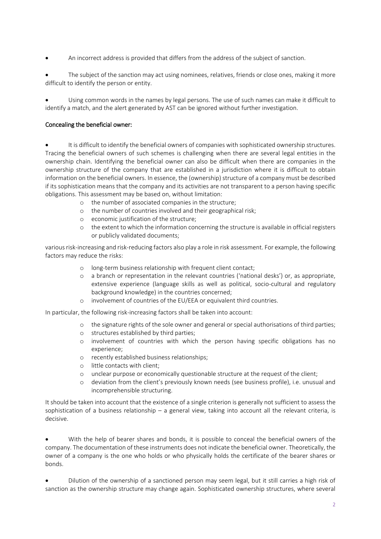An incorrect address is provided that differs from the address of the subject of sanction.

 The subject of the sanction may act using nominees, relatives, friends or close ones, making it more difficult to identify the person or entity.

 Using common words in the names by legal persons. The use of such names can make it difficult to identify a match, and the alert generated by AST can be ignored without further investigation.

## Concealing the beneficial owner:

 It is difficult to identify the beneficial owners of companies with sophisticated ownership structures. Tracing the beneficial owners of such schemes is challenging when there are several legal entities in the ownership chain. Identifying the beneficial owner can also be difficult when there are companies in the ownership structure of the company that are established in a jurisdiction where it is difficult to obtain information on the beneficial owners. In essence, the (ownership) structure of a company must be described if its sophistication means that the company and its activities are not transparent to a person having specific obligations. This assessment may be based on, without limitation:

- o the number of associated companies in the structure;
- o the number of countries involved and their geographical risk;
- o economic justification of the structure;
- o the extent to which the information concerning the structure is available in official registers or publicly validated documents;

various risk-increasing and risk-reducing factors also play a role in risk assessment. For example, the following factors may reduce the risks:

- o long-term business relationship with frequent client contact;
- o a branch or representation in the relevant countries ('national desks') or, as appropriate, extensive experience (language skills as well as political, socio-cultural and regulatory background knowledge) in the countries concerned;
- o involvement of countries of the EU/EEA or equivalent third countries.

In particular, the following risk-increasing factors shall be taken into account:

- o the signature rights of the sole owner and general or special authorisations of third parties;
- o structures established by third parties;
- o involvement of countries with which the person having specific obligations has no experience;
- o recently established business relationships;
- o little contacts with client;
- o unclear purpose or economically questionable structure at the request of the client;
- o deviation from the client's previously known needs (see business profile), i.e. unusual and incomprehensible structuring.

It should be taken into account that the existence of a single criterion is generally not sufficient to assess the sophistication of a business relationship – a general view, taking into account all the relevant criteria, is decisive.

 With the help of bearer shares and bonds, it is possible to conceal the beneficial owners of the company. The documentation of these instruments does not indicate the beneficial owner. Theoretically, the owner of a company is the one who holds or who physically holds the certificate of the bearer shares or bonds.

 Dilution of the ownership of a sanctioned person may seem legal, but it still carries a high risk of sanction as the ownership structure may change again. Sophisticated ownership structures, where several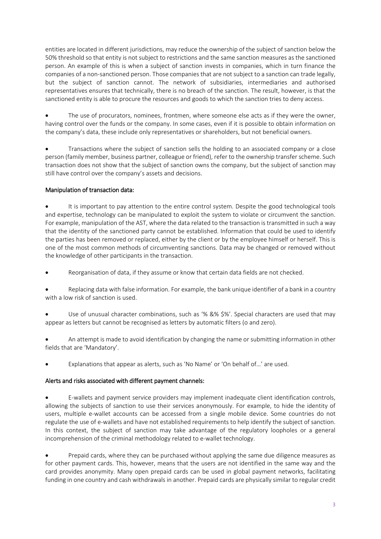entities are located in different jurisdictions, may reduce the ownership of the subject of sanction below the 50% threshold so that entity is not subject to restrictions and the same sanction measures as the sanctioned person. An example of this is when a subject of sanction invests in companies, which in turn finance the companies of a non-sanctioned person. Those companies that are not subject to a sanction can trade legally, but the subject of sanction cannot. The network of subsidiaries, intermediaries and authorised representatives ensures that technically, there is no breach of the sanction. The result, however, is that the sanctioned entity is able to procure the resources and goods to which the sanction tries to deny access.

 The use of procurators, nominees, frontmen, where someone else acts as if they were the owner, having control over the funds or the company. In some cases, even if it is possible to obtain information on the company's data, these include only representatives or shareholders, but not beneficial owners.

 Transactions where the subject of sanction sells the holding to an associated company or a close person (family member, business partner, colleague or friend), refer to the ownership transfer scheme. Such transaction does not show that the subject of sanction owns the company, but the subject of sanction may still have control over the company's assets and decisions.

# Manipulation of transaction data:

 It is important to pay attention to the entire control system. Despite the good technological tools and expertise, technology can be manipulated to exploit the system to violate or circumvent the sanction. For example, manipulation of the AST, where the data related to the transaction is transmitted in such a way that the identity of the sanctioned party cannot be established. Information that could be used to identify the parties has been removed or replaced, either by the client or by the employee himself or herself. This is one of the most common methods of circumventing sanctions. Data may be changed or removed without the knowledge of other participants in the transaction.

Reorganisation of data, if they assume or know that certain data fields are not checked.

 Replacing data with false information. For example, the bank unique identifier of a bank in a country with a low risk of sanction is used.

 Use of unusual character combinations, such as '% &% \$%'. Special characters are used that may appear as letters but cannot be recognised as letters by automatic filters (o and zero).

 An attempt is made to avoid identification by changing the name or submitting information in other fields that are 'Mandatory'.

Explanations that appear as alerts, such as 'No Name' or 'On behalf of…' are used.

### Alerts and risks associated with different payment channels:

 E-wallets and payment service providers may implement inadequate client identification controls, allowing the subjects of sanction to use their services anonymously. For example, to hide the identity of users, multiple e-wallet accounts can be accessed from a single mobile device. Some countries do not regulate the use of e-wallets and have not established requirements to help identify the subject of sanction. In this context, the subject of sanction may take advantage of the regulatory loopholes or a general incomprehension of the criminal methodology related to e-wallet technology.

 Prepaid cards, where they can be purchased without applying the same due diligence measures as for other payment cards. This, however, means that the users are not identified in the same way and the card provides anonymity. Many open prepaid cards can be used in global payment networks, facilitating funding in one country and cash withdrawals in another. Prepaid cards are physically similar to regular credit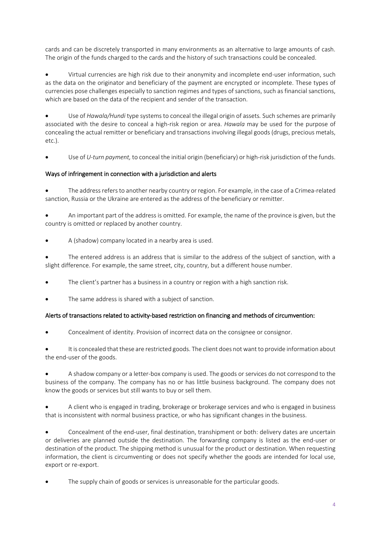cards and can be discretely transported in many environments as an alternative to large amounts of cash. The origin of the funds charged to the cards and the history of such transactions could be concealed.

 Virtual currencies are high risk due to their anonymity and incomplete end-user information, such as the data on the originator and beneficiary of the payment are encrypted or incomplete. These types of currencies pose challenges especially to sanction regimes and types of sanctions, such as financial sanctions, which are based on the data of the recipient and sender of the transaction.

 Use of *Hawala/Hundi* type systems to conceal the illegal origin of assets*.* Such schemes are primarily associated with the desire to conceal a high-risk region or area. *Hawala* may be used for the purpose of concealing the actual remitter or beneficiary and transactions involving illegal goods (drugs, precious metals, etc.).

Use of *U-turn payment,* to conceal the initial origin (beneficiary) or high-risk jurisdiction of the funds.

# Ways of infringement in connection with a jurisdiction and alerts

 The address refers to another nearby country or region. For example, in the case of a Crimea-related sanction, Russia or the Ukraine are entered as the address of the beneficiary or remitter.

 An important part of the address is omitted. For example, the name of the province is given, but the country is omitted or replaced by another country.

A (shadow) company located in a nearby area is used.

 The entered address is an address that is similar to the address of the subject of sanction, with a slight difference. For example, the same street, city, country, but a different house number.

- The client's partner has a business in a country or region with a high sanction risk.
- The same address is shared with a subject of sanction.

# Alerts of transactions related to activity-based restriction on financing and methods of circumvention:

Concealment of identity. Provision of incorrect data on the consignee or consignor.

 It is concealed that these are restricted goods. The client does not want to provide information about the end-user of the goods.

 A shadow company or a letter-box company is used. The goods or services do not correspond to the business of the company. The company has no or has little business background. The company does not know the goods or services but still wants to buy or sell them.

 A client who is engaged in trading, brokerage or brokerage services and who is engaged in business that is inconsistent with normal business practice, or who has significant changes in the business.

 Concealment of the end-user, final destination, transhipment or both: delivery dates are uncertain or deliveries are planned outside the destination. The forwarding company is listed as the end-user or destination of the product. The shipping method is unusual for the product or destination. When requesting information, the client is circumventing or does not specify whether the goods are intended for local use, export or re-export.

The supply chain of goods or services is unreasonable for the particular goods.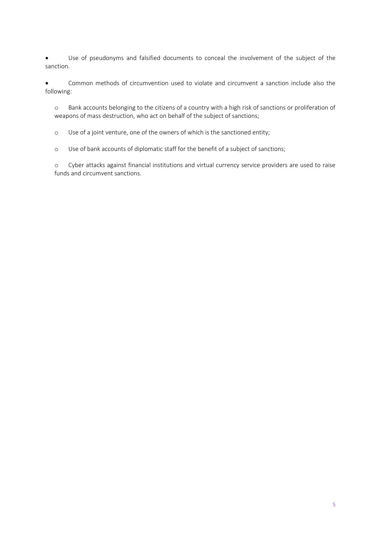Use of pseudonyms and falsified documents to conceal the involvement of the subject of the sanction.

 Common methods of circumvention used to violate and circumvent a sanction include also the following:

o Bank accounts belonging to the citizens of a country with a high risk of sanctions or proliferation of weapons of mass destruction, who act on behalf of the subject of sanctions;

o Use of a joint venture, one of the owners of which is the sanctioned entity;

o Use of bank accounts of diplomatic staff for the benefit of a subject of sanctions;

o Cyber attacks against financial institutions and virtual currency service providers are used to raise funds and circumvent sanctions.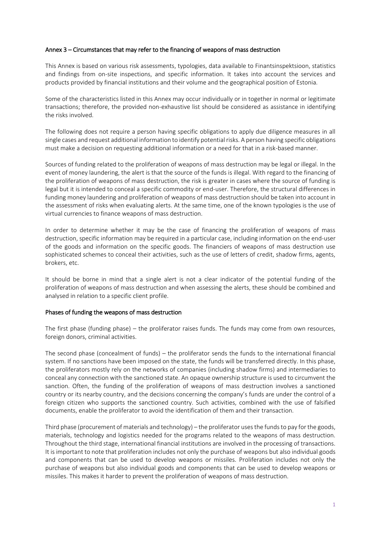#### <span id="page-26-0"></span>Annex 3 – Circumstances that may refer to the financing of weapons of mass destruction

This Annex is based on various risk assessments, typologies, data available to Finantsinspektsioon, statistics and findings from on-site inspections, and specific information. It takes into account the services and products provided by financial institutions and their volume and the geographical position of Estonia.

Some of the characteristics listed in this Annex may occur individually or in together in normal or legitimate transactions; therefore, the provided non-exhaustive list should be considered as assistance in identifying the risks involved.

The following does not require a person having specific obligations to apply due diligence measures in all single cases and request additional information to identify potential risks. A person having specific obligations must make a decision on requesting additional information or a need for that in a risk-based manner.

Sources of funding related to the proliferation of weapons of mass destruction may be legal or illegal. In the event of money laundering, the alert is that the source of the funds is illegal. With regard to the financing of the proliferation of weapons of mass destruction, the risk is greater in cases where the source of funding is legal but it is intended to conceal a specific commodity or end-user. Therefore, the structural differences in funding money laundering and proliferation of weapons of mass destruction should be taken into account in the assessment of risks when evaluating alerts. At the same time, one of the known typologies is the use of virtual currencies to finance weapons of mass destruction.

In order to determine whether it may be the case of financing the proliferation of weapons of mass destruction, specific information may be required in a particular case, including information on the end-user of the goods and information on the specific goods. The financiers of weapons of mass destruction use sophisticated schemes to conceal their activities, such as the use of letters of credit, shadow firms, agents, brokers, etc.

It should be borne in mind that a single alert is not a clear indicator of the potential funding of the proliferation of weapons of mass destruction and when assessing the alerts, these should be combined and analysed in relation to a specific client profile.

#### Phases of funding the weapons of mass destruction

The first phase (funding phase) – the proliferator raises funds. The funds may come from own resources, foreign donors, criminal activities.

The second phase (concealment of funds) – the proliferator sends the funds to the international financial system. If no sanctions have been imposed on the state, the funds will be transferred directly. In this phase, the proliferators mostly rely on the networks of companies (including shadow firms) and intermediaries to conceal any connection with the sanctioned state. An opaque ownership structure is used to circumvent the sanction. Often, the funding of the proliferation of weapons of mass destruction involves a sanctioned country or its nearby country, and the decisions concerning the company's funds are under the control of a foreign citizen who supports the sanctioned country. Such activities, combined with the use of falsified documents, enable the proliferator to avoid the identification of them and their transaction.

Third phase (procurement of materials and technology) – the proliferator uses the funds to pay for the goods, materials, technology and logistics needed for the programs related to the weapons of mass destruction. Throughout the third stage, international financial institutions are involved in the processing of transactions. It is important to note that proliferation includes not only the purchase of weapons but also individual goods and components that can be used to develop weapons or missiles. Proliferation includes not only the purchase of weapons but also individual goods and components that can be used to develop weapons or missiles. This makes it harder to prevent the proliferation of weapons of mass destruction.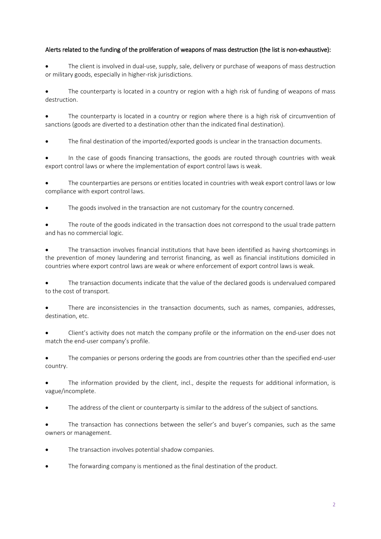## Alerts related to the funding of the proliferation of weapons of mass destruction (the list is non-exhaustive):

 The client is involved in dual-use, supply, sale, delivery or purchase of weapons of mass destruction or military goods, especially in higher-risk jurisdictions.

 The counterparty is located in a country or region with a high risk of funding of weapons of mass destruction.

 The counterparty is located in a country or region where there is a high risk of circumvention of sanctions (goods are diverted to a destination other than the indicated final destination).

The final destination of the imported/exported goods is unclear in the transaction documents.

 In the case of goods financing transactions, the goods are routed through countries with weak export control laws or where the implementation of export control laws is weak.

 The counterparties are persons or entities located in countries with weak export control laws or low compliance with export control laws.

The goods involved in the transaction are not customary for the country concerned.

 The route of the goods indicated in the transaction does not correspond to the usual trade pattern and has no commercial logic.

 The transaction involves financial institutions that have been identified as having shortcomings in the prevention of money laundering and terrorist financing, as well as financial institutions domiciled in countries where export control laws are weak or where enforcement of export control laws is weak.

 The transaction documents indicate that the value of the declared goods is undervalued compared to the cost of transport.

 There are inconsistencies in the transaction documents, such as names, companies, addresses, destination, etc.

 Client's activity does not match the company profile or the information on the end-user does not match the end-user company's profile.

• The companies or persons ordering the goods are from countries other than the specified end-user country.

 The information provided by the client, incl., despite the requests for additional information, is vague/incomplete.

The address of the client or counterparty is similar to the address of the subject of sanctions.

 The transaction has connections between the seller's and buyer's companies, such as the same owners or management.

- The transaction involves potential shadow companies.
- The forwarding company is mentioned as the final destination of the product.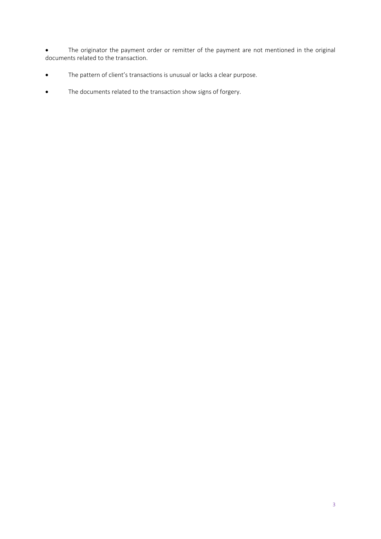The originator the payment order or remitter of the payment are not mentioned in the original documents related to the transaction.

- The pattern of client's transactions is unusual or lacks a clear purpose.
- The documents related to the transaction show signs of forgery.